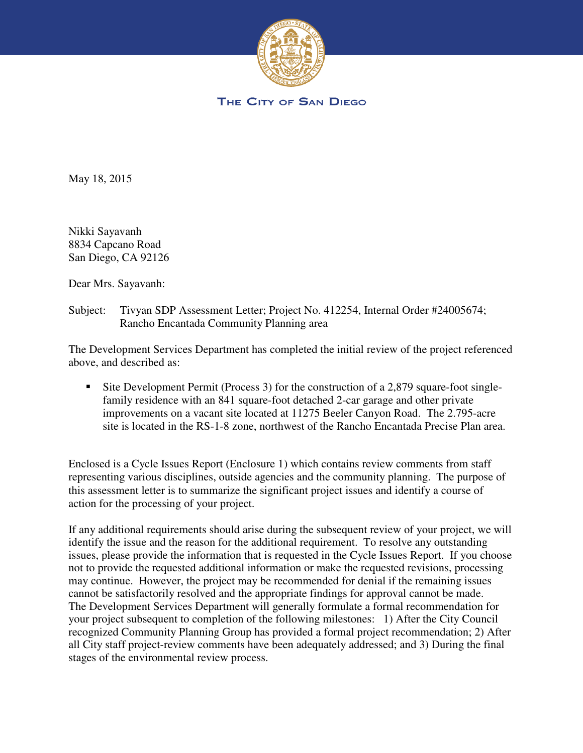

THE CITY OF SAN DIEGO

May 18, 2015

Nikki Sayavanh 8834 Capcano Road San Diego, CA 92126

Dear Mrs. Sayavanh:

Subject: Tivyan SDP Assessment Letter; Project No. 412254, Internal Order #24005674; Rancho Encantada Community Planning area

The Development Services Department has completed the initial review of the project referenced above, and described as:

Site Development Permit (Process 3) for the construction of a 2,879 square-foot singlefamily residence with an 841 square-foot detached 2-car garage and other private improvements on a vacant site located at 11275 Beeler Canyon Road. The 2.795-acre site is located in the RS-1-8 zone, northwest of the Rancho Encantada Precise Plan area.

Enclosed is a Cycle Issues Report (Enclosure 1) which contains review comments from staff representing various disciplines, outside agencies and the community planning. The purpose of this assessment letter is to summarize the significant project issues and identify a course of action for the processing of your project.

If any additional requirements should arise during the subsequent review of your project, we will identify the issue and the reason for the additional requirement. To resolve any outstanding issues, please provide the information that is requested in the Cycle Issues Report. If you choose not to provide the requested additional information or make the requested revisions, processing may continue. However, the project may be recommended for denial if the remaining issues cannot be satisfactorily resolved and the appropriate findings for approval cannot be made. The Development Services Department will generally formulate a formal recommendation for your project subsequent to completion of the following milestones: 1) After the City Council recognized Community Planning Group has provided a formal project recommendation; 2) After all City staff project-review comments have been adequately addressed; and 3) During the final stages of the environmental review process.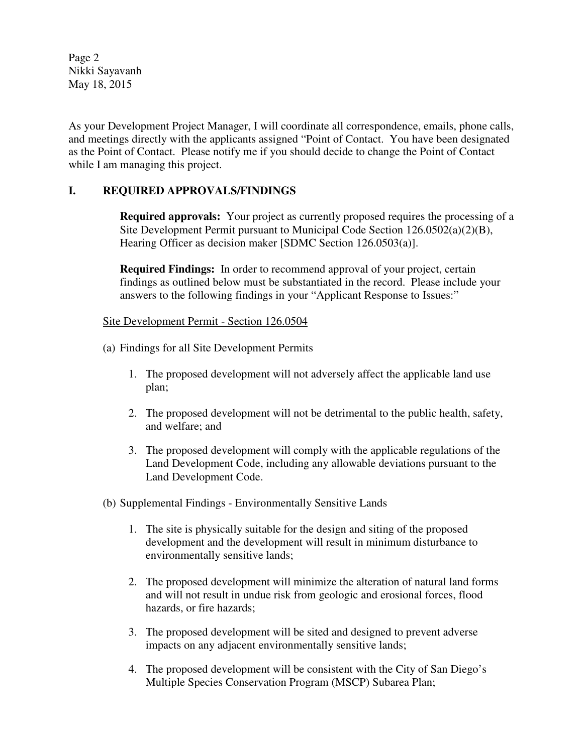Page 2 Nikki Sayavanh May 18, 2015

As your Development Project Manager, I will coordinate all correspondence, emails, phone calls, and meetings directly with the applicants assigned "Point of Contact. You have been designated as the Point of Contact. Please notify me if you should decide to change the Point of Contact while I am managing this project.

## **I. REQUIRED APPROVALS/FINDINGS**

**Required approvals:** Your project as currently proposed requires the processing of a Site Development Permit pursuant to Municipal Code Section 126.0502(a)(2)(B), Hearing Officer as decision maker [SDMC Section 126.0503(a)].

**Required Findings:** In order to recommend approval of your project, certain findings as outlined below must be substantiated in the record. Please include your answers to the following findings in your "Applicant Response to Issues:"

## Site Development Permit - Section 126.0504

- (a) Findings for all Site Development Permits
	- 1. The proposed development will not adversely affect the applicable land use plan;
	- 2. The proposed development will not be detrimental to the public health, safety, and welfare; and
	- 3. The proposed development will comply with the applicable regulations of the Land Development Code, including any allowable deviations pursuant to the Land Development Code.
- (b) Supplemental Findings Environmentally Sensitive Lands
	- 1. The site is physically suitable for the design and siting of the proposed development and the development will result in minimum disturbance to environmentally sensitive lands;
	- 2. The proposed development will minimize the alteration of natural land forms and will not result in undue risk from geologic and erosional forces, flood hazards, or fire hazards;
	- 3. The proposed development will be sited and designed to prevent adverse impacts on any adjacent environmentally sensitive lands;
	- 4. The proposed development will be consistent with the City of San Diego's Multiple Species Conservation Program (MSCP) Subarea Plan;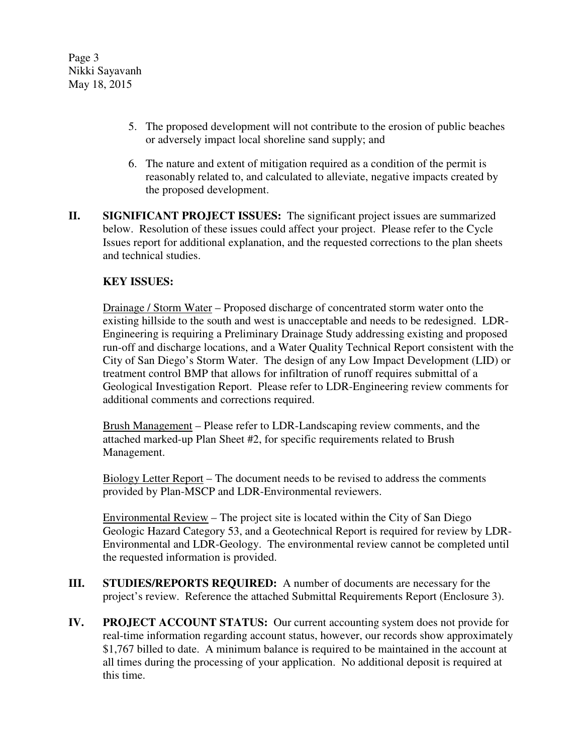Page 3 Nikki Sayavanh May 18, 2015

- 5. The proposed development will not contribute to the erosion of public beaches or adversely impact local shoreline sand supply; and
- 6. The nature and extent of mitigation required as a condition of the permit is reasonably related to, and calculated to alleviate, negative impacts created by the proposed development.
- **II. SIGNIFICANT PROJECT ISSUES:** The significant project issues are summarized below. Resolution of these issues could affect your project. Please refer to the Cycle Issues report for additional explanation, and the requested corrections to the plan sheets and technical studies.

## **KEY ISSUES:**

 Drainage / Storm Water – Proposed discharge of concentrated storm water onto the existing hillside to the south and west is unacceptable and needs to be redesigned. LDR-Engineering is requiring a Preliminary Drainage Study addressing existing and proposed run-off and discharge locations, and a Water Quality Technical Report consistent with the City of San Diego's Storm Water. The design of any Low Impact Development (LID) or treatment control BMP that allows for infiltration of runoff requires submittal of a Geological Investigation Report. Please refer to LDR-Engineering review comments for additional comments and corrections required.

 Brush Management – Please refer to LDR-Landscaping review comments, and the attached marked-up Plan Sheet #2, for specific requirements related to Brush Management.

 Biology Letter Report – The document needs to be revised to address the comments provided by Plan-MSCP and LDR-Environmental reviewers.

Environmental Review – The project site is located within the City of San Diego Geologic Hazard Category 53, and a Geotechnical Report is required for review by LDR-Environmental and LDR-Geology. The environmental review cannot be completed until the requested information is provided.

- **III. STUDIES/REPORTS REQUIRED:** A number of documents are necessary for the project's review. Reference the attached Submittal Requirements Report (Enclosure 3).
- **IV.** PROJECT ACCOUNT STATUS: Our current accounting system does not provide for real-time information regarding account status, however, our records show approximately \$1,767 billed to date. A minimum balance is required to be maintained in the account at all times during the processing of your application. No additional deposit is required at this time.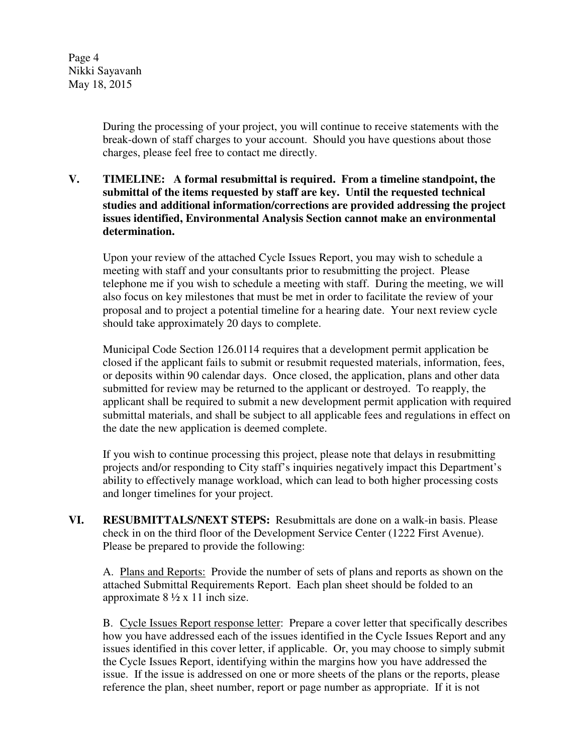Page 4 Nikki Sayavanh May 18, 2015

> During the processing of your project, you will continue to receive statements with the break-down of staff charges to your account. Should you have questions about those charges, please feel free to contact me directly.

**V. TIMELINE: A formal resubmittal is required. From a timeline standpoint, the submittal of the items requested by staff are key. Until the requested technical studies and additional information/corrections are provided addressing the project issues identified, Environmental Analysis Section cannot make an environmental determination.** 

Upon your review of the attached Cycle Issues Report, you may wish to schedule a meeting with staff and your consultants prior to resubmitting the project. Please telephone me if you wish to schedule a meeting with staff. During the meeting, we will also focus on key milestones that must be met in order to facilitate the review of your proposal and to project a potential timeline for a hearing date. Your next review cycle should take approximately 20 days to complete.

Municipal Code Section 126.0114 requires that a development permit application be closed if the applicant fails to submit or resubmit requested materials, information, fees, or deposits within 90 calendar days. Once closed, the application, plans and other data submitted for review may be returned to the applicant or destroyed. To reapply, the applicant shall be required to submit a new development permit application with required submittal materials, and shall be subject to all applicable fees and regulations in effect on the date the new application is deemed complete.

If you wish to continue processing this project, please note that delays in resubmitting projects and/or responding to City staff's inquiries negatively impact this Department's ability to effectively manage workload, which can lead to both higher processing costs and longer timelines for your project.

**VI. RESUBMITTALS/NEXT STEPS:** Resubmittals are done on a walk-in basis. Please check in on the third floor of the Development Service Center (1222 First Avenue). Please be prepared to provide the following:

A. Plans and Reports: Provide the number of sets of plans and reports as shown on the attached Submittal Requirements Report. Each plan sheet should be folded to an approximate  $8\frac{1}{2} \times 11$  inch size.

B. Cycle Issues Report response letter: Prepare a cover letter that specifically describes how you have addressed each of the issues identified in the Cycle Issues Report and any issues identified in this cover letter, if applicable. Or, you may choose to simply submit the Cycle Issues Report, identifying within the margins how you have addressed the issue. If the issue is addressed on one or more sheets of the plans or the reports, please reference the plan, sheet number, report or page number as appropriate. If it is not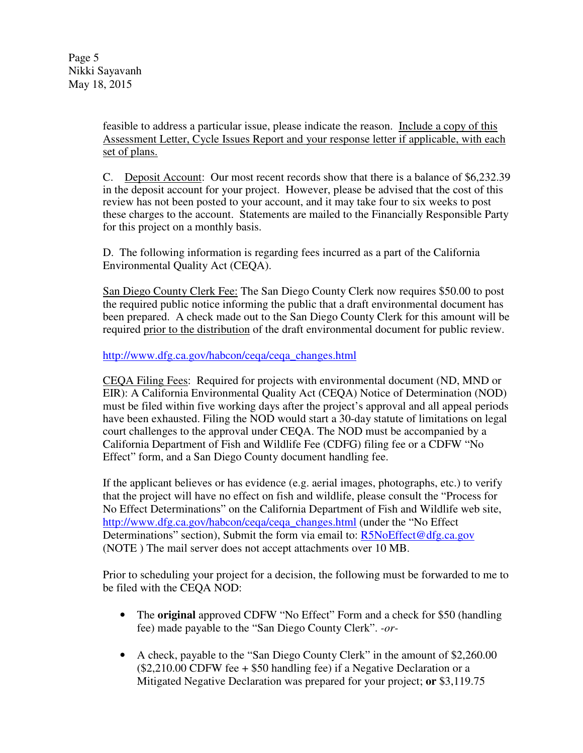feasible to address a particular issue, please indicate the reason. Include a copy of this Assessment Letter, Cycle Issues Report and your response letter if applicable, with each set of plans.

C. Deposit Account:Our most recent records show that there is a balance of \$6,232.39 in the deposit account for your project. However, please be advised that the cost of this review has not been posted to your account, and it may take four to six weeks to post these charges to the account. Statements are mailed to the Financially Responsible Party for this project on a monthly basis.

D. The following information is regarding fees incurred as a part of the California Environmental Quality Act (CEQA).

San Diego County Clerk Fee: The San Diego County Clerk now requires \$50.00 to post the required public notice informing the public that a draft environmental document has been prepared. A check made out to the San Diego County Clerk for this amount will be required prior to the distribution of the draft environmental document for public review.

http://www.dfg.ca.gov/habcon/ceqa/ceqa\_changes.html

CEQA Filing Fees: Required for projects with environmental document (ND, MND or EIR): A California Environmental Quality Act (CEQA) Notice of Determination (NOD) must be filed within five working days after the project's approval and all appeal periods have been exhausted. Filing the NOD would start a 30-day statute of limitations on legal court challenges to the approval under CEQA. The NOD must be accompanied by a California Department of Fish and Wildlife Fee (CDFG) filing fee or a CDFW "No Effect" form, and a San Diego County document handling fee.

If the applicant believes or has evidence (e.g. aerial images, photographs, etc.) to verify that the project will have no effect on fish and wildlife, please consult the "Process for No Effect Determinations" on the California Department of Fish and Wildlife web site, http://www.dfg.ca.gov/habcon/ceqa/ceqa\_changes.html (under the "No Effect Determinations" section), Submit the form via email to: R5NoEffect@dfg.ca.gov (NOTE ) The mail server does not accept attachments over 10 MB.

Prior to scheduling your project for a decision, the following must be forwarded to me to be filed with the CEQA NOD:

- The **original** approved CDFW "No Effect" Form and a check for \$50 (handling fee) made payable to the "San Diego County Clerk". *-or-*
- A check, payable to the "San Diego County Clerk" in the amount of \$2,260.00  $(\$2,210.00$  CDFW fee  $+$  \$50 handling fee) if a Negative Declaration or a Mitigated Negative Declaration was prepared for your project; **or** \$3,119.75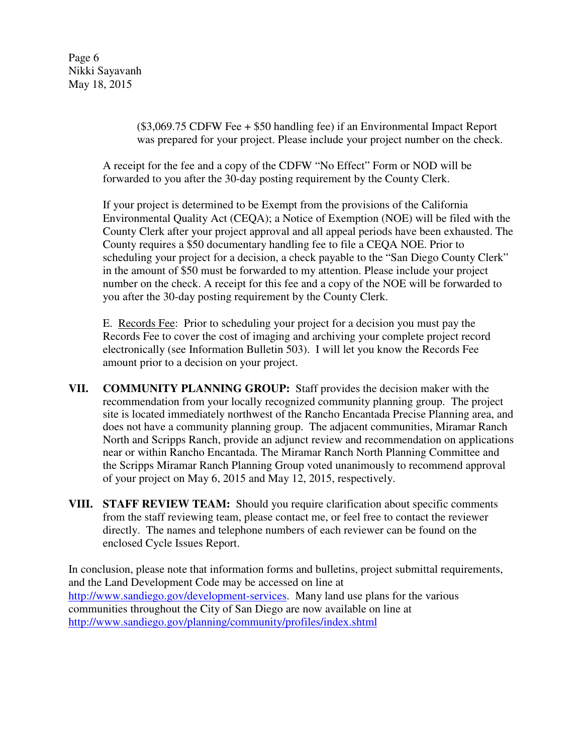Page 6 Nikki Sayavanh May 18, 2015

> (\$3,069.75 CDFW Fee + \$50 handling fee) if an Environmental Impact Report was prepared for your project. Please include your project number on the check.

A receipt for the fee and a copy of the CDFW "No Effect" Form or NOD will be forwarded to you after the 30-day posting requirement by the County Clerk.

If your project is determined to be Exempt from the provisions of the California Environmental Quality Act (CEQA); a Notice of Exemption (NOE) will be filed with the County Clerk after your project approval and all appeal periods have been exhausted. The County requires a \$50 documentary handling fee to file a CEQA NOE. Prior to scheduling your project for a decision, a check payable to the "San Diego County Clerk" in the amount of \$50 must be forwarded to my attention. Please include your project number on the check. A receipt for this fee and a copy of the NOE will be forwarded to you after the 30-day posting requirement by the County Clerk.

E. Records Fee: Prior to scheduling your project for a decision you must pay the Records Fee to cover the cost of imaging and archiving your complete project record electronically (see Information Bulletin 503). I will let you know the Records Fee amount prior to a decision on your project.

- **VII. COMMUNITY PLANNING GROUP:** Staff provides the decision maker with the recommendation from your locally recognized community planning group. The project site is located immediately northwest of the Rancho Encantada Precise Planning area, and does not have a community planning group. The adjacent communities, Miramar Ranch North and Scripps Ranch, provide an adjunct review and recommendation on applications near or within Rancho Encantada. The Miramar Ranch North Planning Committee and the Scripps Miramar Ranch Planning Group voted unanimously to recommend approval of your project on May 6, 2015 and May 12, 2015, respectively.
- **VIII. STAFF REVIEW TEAM:** Should you require clarification about specific comments from the staff reviewing team, please contact me, or feel free to contact the reviewer directly. The names and telephone numbers of each reviewer can be found on the enclosed Cycle Issues Report.

In conclusion, please note that information forms and bulletins, project submittal requirements, and the Land Development Code may be accessed on line at http://www.sandiego.gov/development-services. Many land use plans for the various communities throughout the City of San Diego are now available on line at http://www.sandiego.gov/planning/community/profiles/index.shtml